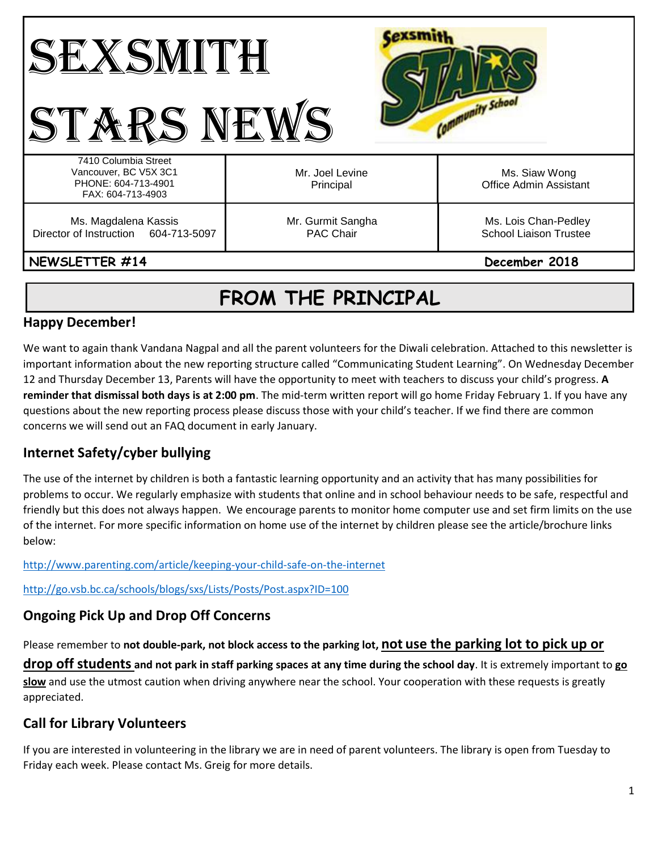| ╹┢╋<br>amunity School<br>«RS Nt                                                           |                                |                                                       |
|-------------------------------------------------------------------------------------------|--------------------------------|-------------------------------------------------------|
| 7410 Columbia Street<br>Vancouver, BC V5X 3C1<br>PHONE: 604-713-4901<br>FAX: 604-713-4903 | Mr. Joel Levine<br>Principal   | Ms. Siaw Wong<br>Office Admin Assistant               |
| Ms. Magdalena Kassis<br>Director of Instruction 604-713-5097                              | Mr. Gurmit Sangha<br>PAC Chair | Ms. Lois Chan-Pedley<br><b>School Liaison Trustee</b> |
| NEWSLETTER #14                                                                            |                                | December 2018                                         |

# **FROM THE PRINCIPAL**

## **Happy December!**

We want to again thank Vandana Nagpal and all the parent volunteers for the Diwali celebration. Attached to this newsletter is important information about the new reporting structure called "Communicating Student Learning". On Wednesday December 12 and Thursday December 13, Parents will have the opportunity to meet with teachers to discuss your child's progress. **A reminder that dismissal both days is at 2:00 pm**. The mid-term written report will go home Friday February 1. If you have any questions about the new reporting process please discuss those with your child's teacher. If we find there are common concerns we will send out an FAQ document in early January.

## **Internet Safety/cyber bullying**

The use of the internet by children is both a fantastic learning opportunity and an activity that has many possibilities for problems to occur. We regularly emphasize with students that online and in school behaviour needs to be safe, respectful and friendly but this does not always happen. We encourage parents to monitor home computer use and set firm limits on the use of the internet. For more specific information on home use of the internet by children please see the article/brochure links below:

<http://www.parenting.com/article/keeping-your-child-safe-on-the-internet>

<http://go.vsb.bc.ca/schools/blogs/sxs/Lists/Posts/Post.aspx?ID=100>

## **Ongoing Pick Up and Drop Off Concerns**

Please remember to **not double-park, not block access to the parking lot, not use the parking lot to pick up or** 

**drop off students and not park in staff parking spaces at any time during the school day**. It is extremely important to **go slow** and use the utmost caution when driving anywhere near the school. Your cooperation with these requests is greatly appreciated.

## **Call for Library Volunteers**

If you are interested in volunteering in the library we are in need of parent volunteers. The library is open from Tuesday to Friday each week. Please contact Ms. Greig for more details.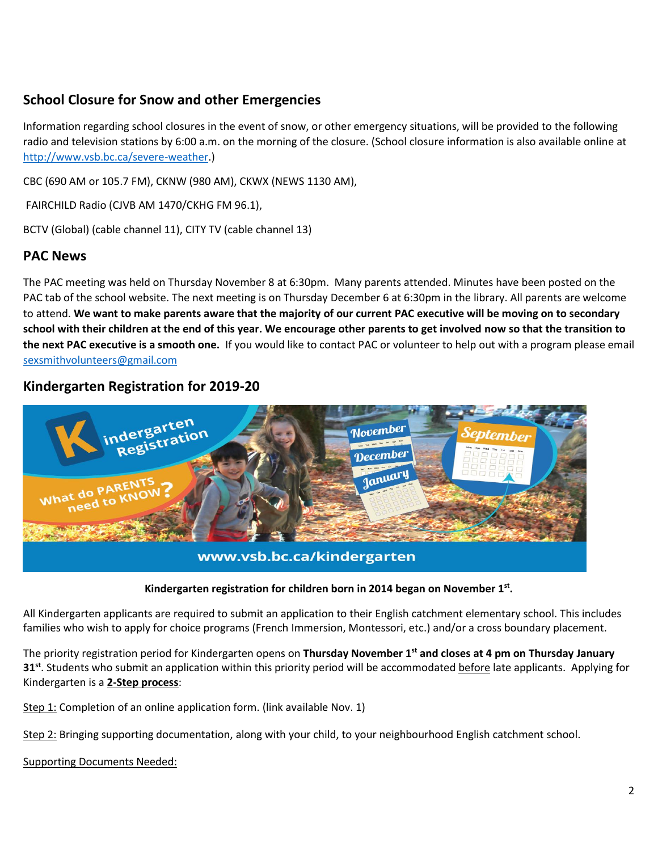## **School Closure for Snow and other Emergencies**

Information regarding school closures in the event of snow, or other emergency situations, will be provided to the following radio and television stations by 6:00 a.m. on the morning of the closure. (School closure information is also available online at [http://www.vsb.bc.ca/severe-weather.](http://www.vsb.bc.ca/severe-weather))

CBC (690 AM or 105.7 FM), CKNW (980 AM), CKWX (NEWS 1130 AM),

FAIRCHILD Radio (CJVB AM 1470/CKHG FM 96.1),

BCTV (Global) (cable channel 11), CITY TV (cable channel 13)

#### **PAC News**

The PAC meeting was held on Thursday November 8 at 6:30pm. Many parents attended. Minutes have been posted on the PAC tab of the school website. The next meeting is on Thursday December 6 at 6:30pm in the library. All parents are welcome to attend. **We want to make parents aware that the majority of our current PAC executive will be moving on to secondary school with their children at the end of this year. We encourage other parents to get involved now so that the transition to the next PAC executive is a smooth one.** If you would like to contact PAC or volunteer to help out with a program please email [sexsmithvolunteers@gmail.com](mailto:sexsmithvolunteers@gmail.com)

#### **Kindergarten Registration for 2019-20**



www.vsb.bc.ca/kindergarten

#### **Kindergarten registration for children born in 2014 began on November 1st .**

All Kindergarten applicants are required to submit an application to their English catchment elementary school. This includes families who wish to apply for choice programs (French Immersion, Montessori, etc.) and/or a cross boundary placement.

The priority registration period for Kindergarten opens on **Thursday November 1st and closes at 4 pm on Thursday January 31<sup>st</sup>**. Students who submit an application within this priority period will be accommodated before late applicants. Applying for Kindergarten is a **2-Step process**:

Step 1: Completion of an online application form. (link available Nov. 1)

Step 2: Bringing supporting documentation, along with your child, to your neighbourhood English catchment school.

Supporting Documents Needed: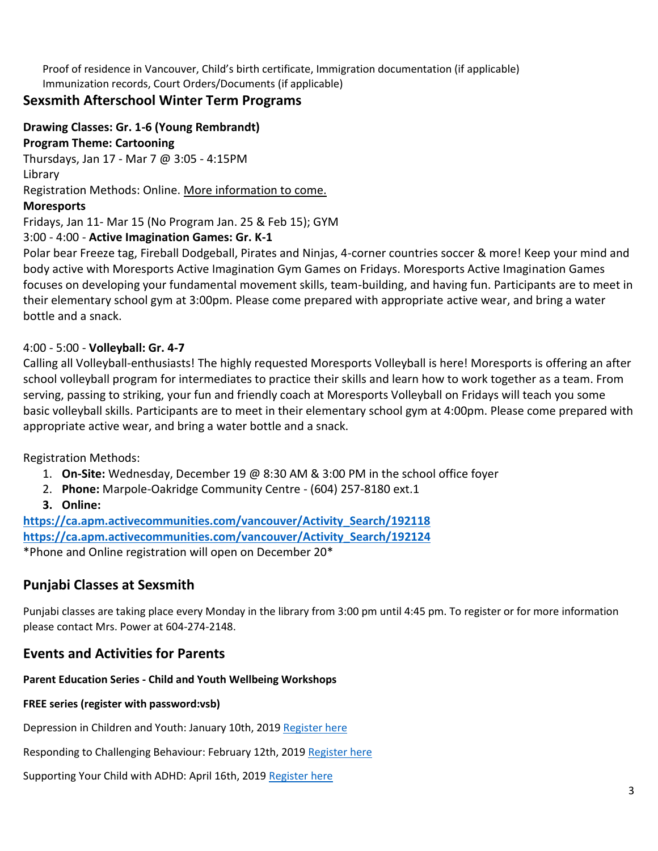Proof of residence in Vancouver, Child's birth certificate, Immigration documentation (if applicable) Immunization records, Court Orders/Documents (if applicable)

### **Sexsmith Afterschool Winter Term Programs**

**Drawing Classes: Gr. 1-6 (Young Rembrandt)**

**Program Theme: Cartooning**

Thursdays, Jan 17 - Mar 7 @ 3:05 - 4:15PM

Library

Registration Methods: Online. More information to come.

#### **Moresports**

Fridays, Jan 11- Mar 15 (No Program Jan. 25 & Feb 15); GYM

#### 3:00 - 4:00 - **Active Imagination Games: Gr. K-1**

Polar bear Freeze tag, Fireball Dodgeball, Pirates and Ninjas, 4-corner countries soccer & more! Keep your mind and body active with Moresports Active Imagination Gym Games on Fridays. Moresports Active Imagination Games focuses on developing your fundamental movement skills, team-building, and having fun. Participants are to meet in their elementary school gym at 3:00pm. Please come prepared with appropriate active wear, and bring a water bottle and a snack.

#### 4:00 - 5:00 - **Volleyball: Gr. 4-7**

Calling all Volleyball-enthusiasts! The highly requested Moresports Volleyball is here! Moresports is offering an after school volleyball program for intermediates to practice their skills and learn how to work together as a team. From serving, passing to striking, your fun and friendly coach at Moresports Volleyball on Fridays will teach you some basic volleyball skills. Participants are to meet in their elementary school gym at 4:00pm. Please come prepared with appropriate active wear, and bring a water bottle and a snack.

Registration Methods:

- 1. **On-Site:** Wednesday, December 19 @ 8:30 AM & 3:00 PM in the school office foyer
- 2. **Phone:** Marpole-Oakridge Community Centre (604) 257-8180 ext.1
- **3. Online:**

**[https://ca.apm.activecommunities.com/vancouver/Activity\\_Search/192118](https://ca.apm.activecommunities.com/vancouver/Activity_Search/192118) [https://ca.apm.activecommunities.com/vancouver/Activity\\_Search/192124](https://ca.apm.activecommunities.com/vancouver/Activity_Search/192124)** \*Phone and Online registration will open on December 20\*

## **Punjabi Classes at Sexsmith**

Punjabi classes are taking place every Monday in the library from 3:00 pm until 4:45 pm. To register or for more information please contact Mrs. Power at 604-274-2148.

## **Events and Activities for Parents**

## **Parent Education Series - Child and Youth Wellbeing Workshops**

#### **FREE series (register with password:vsb)**

Depression in Children and Youth: January 10th, 201[9 Register here](https://www.eventbrite.ca/e/depression-in-children-and-youth-tickets-49669917059)

Responding to Challenging Behaviour: February 12th, 201[9 Register here](https://www.eventbrite.ca/e/responding-to-challenging-behaviour-tickets-49669961191)

Supporting Your Child with ADHD: April 16th, 2019 [Register here](https://www.eventbrite.ca/e/responding-to-challenging-behaviour-tickets-49669961191)